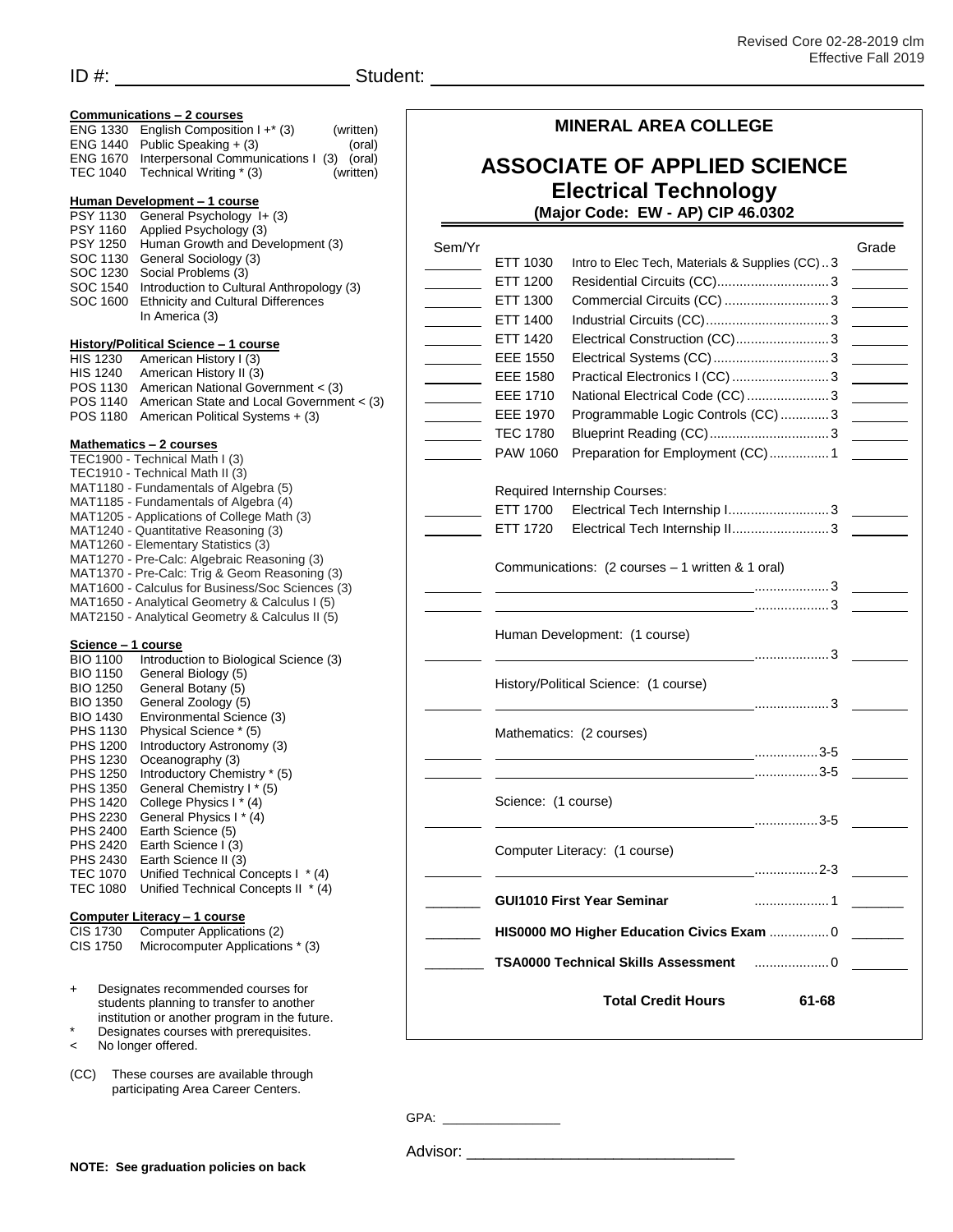| Communications - 2 courses<br>English Composition $1 +^* (3)$<br>ENG 1330<br>(written)<br>Public Speaking + (3)<br>ENG 1440<br>(oral)<br>Interpersonal Communications I (3)<br><b>ENG 1670</b><br>(oral)<br>Technical Writing * (3)<br><b>TEC 1040</b><br>(written) |                                           | <b>MINERAL AREA COLLEGE</b><br><b>ASSOCIATE OF APPLIED SCIENCE</b><br><b>Electrical Technology</b>         |                                                  |                                                                                                                                                                                                                                                                                                                                              |
|---------------------------------------------------------------------------------------------------------------------------------------------------------------------------------------------------------------------------------------------------------------------|-------------------------------------------|------------------------------------------------------------------------------------------------------------|--------------------------------------------------|----------------------------------------------------------------------------------------------------------------------------------------------------------------------------------------------------------------------------------------------------------------------------------------------------------------------------------------------|
|                                                                                                                                                                                                                                                                     |                                           |                                                                                                            |                                                  |                                                                                                                                                                                                                                                                                                                                              |
| Human Growth and Development (3)<br><b>PSY 1250</b><br>General Sociology (3)<br>SOC 1130                                                                                                                                                                            |                                           | Sem/Yr<br>ETT 1030                                                                                         | Intro to Elec Tech, Materials & Supplies (CC)3   | Grade<br>$\mathcal{L}^{\text{max}}$ and $\mathcal{L}^{\text{max}}$                                                                                                                                                                                                                                                                           |
| Social Problems (3)<br>SOC 1230<br>SOC 1540                                                                                                                                                                                                                         | Introduction to Cultural Anthropology (3) | ETT 1200                                                                                                   |                                                  |                                                                                                                                                                                                                                                                                                                                              |
| <b>Ethnicity and Cultural Differences</b><br>SOC 1600<br>In America (3)                                                                                                                                                                                             |                                           | ETT 1300<br><b>Contract Contract</b>                                                                       |                                                  |                                                                                                                                                                                                                                                                                                                                              |
|                                                                                                                                                                                                                                                                     |                                           | ETT 1400<br>$\overline{\phantom{a}}$<br>ETT 1420                                                           |                                                  |                                                                                                                                                                                                                                                                                                                                              |
| History/Political Science - 1 course<br>American History I (3)<br><b>HIS 1230</b>                                                                                                                                                                                   |                                           | <b>EEE 1550</b><br>$\overline{\phantom{a}}$                                                                |                                                  |                                                                                                                                                                                                                                                                                                                                              |
| <b>HIS 1240</b><br>American History II (3)                                                                                                                                                                                                                          |                                           | <b>EEE 1580</b><br>$\mathcal{L}^{\text{max}}_{\text{max}}$ , where $\mathcal{L}^{\text{max}}_{\text{max}}$ |                                                  |                                                                                                                                                                                                                                                                                                                                              |
| American National Government < (3)<br>POS 1130                                                                                                                                                                                                                      |                                           | EEE 1710<br>$\overline{\phantom{a}}$                                                                       | National Electrical Code (CC)  3                 |                                                                                                                                                                                                                                                                                                                                              |
| POS 1140<br>POS 1180<br>American Political Systems + (3)                                                                                                                                                                                                            | American State and Local Government < (3) | <b>EEE 1970</b><br>$\mathbb{R}^n$                                                                          | Programmable Logic Controls (CC) 3               |                                                                                                                                                                                                                                                                                                                                              |
|                                                                                                                                                                                                                                                                     |                                           | <b>TEC 1780</b>                                                                                            |                                                  |                                                                                                                                                                                                                                                                                                                                              |
| Mathematics - 2 courses<br>TEC1900 - Technical Math I (3)                                                                                                                                                                                                           |                                           | PAW 1060                                                                                                   | Preparation for Employment (CC) 1                |                                                                                                                                                                                                                                                                                                                                              |
| TEC1910 - Technical Math II (3)                                                                                                                                                                                                                                     |                                           |                                                                                                            |                                                  |                                                                                                                                                                                                                                                                                                                                              |
| MAT1180 - Fundamentals of Algebra (5)<br>MAT1185 - Fundamentals of Algebra (4)                                                                                                                                                                                      |                                           |                                                                                                            | Required Internship Courses:                     |                                                                                                                                                                                                                                                                                                                                              |
| MAT1205 - Applications of College Math (3)                                                                                                                                                                                                                          |                                           | ETT 1700                                                                                                   | Electrical Tech Internship I 3                   |                                                                                                                                                                                                                                                                                                                                              |
| MAT1240 - Quantitative Reasoning (3)<br>MAT1260 - Elementary Statistics (3)                                                                                                                                                                                         |                                           | ETT 1720                                                                                                   | Electrical Tech Internship II3                   |                                                                                                                                                                                                                                                                                                                                              |
| MAT1270 - Pre-Calc: Algebraic Reasoning (3)                                                                                                                                                                                                                         |                                           |                                                                                                            | Communications: (2 courses - 1 written & 1 oral) |                                                                                                                                                                                                                                                                                                                                              |
| MAT1370 - Pre-Calc: Trig & Geom Reasoning (3)<br>MAT1600 - Calculus for Business/Soc Sciences (3)                                                                                                                                                                   |                                           |                                                                                                            |                                                  |                                                                                                                                                                                                                                                                                                                                              |
| MAT1650 - Analytical Geometry & Calculus I (5)                                                                                                                                                                                                                      |                                           |                                                                                                            |                                                  |                                                                                                                                                                                                                                                                                                                                              |
| MAT2150 - Analytical Geometry & Calculus II (5)                                                                                                                                                                                                                     |                                           |                                                                                                            |                                                  |                                                                                                                                                                                                                                                                                                                                              |
| Science - 1 course                                                                                                                                                                                                                                                  |                                           |                                                                                                            | Human Development: (1 course)                    |                                                                                                                                                                                                                                                                                                                                              |
| <b>BIO 1100</b><br>Introduction to Biological Science (3)                                                                                                                                                                                                           |                                           |                                                                                                            |                                                  | $\ldots$ $\ldots$ $\ldots$ $\ldots$ $\ldots$ $\ldots$ $\ldots$ $\ldots$ $\ldots$ $\ldots$ $\ldots$ $\ldots$ $\ldots$ $\ldots$ $\ldots$ $\ldots$ $\ldots$ $\ldots$ $\ldots$ $\ldots$ $\ldots$ $\ldots$ $\ldots$ $\ldots$ $\ldots$ $\ldots$ $\ldots$ $\ldots$ $\ldots$ $\ldots$ $\ldots$ $\ldots$ $\ldots$ $\ldots$ $\ldots$ $\ldots$ $\ldots$ |
| General Biology (5)<br><b>BIO 1150</b><br>General Botany (5)<br><b>BIO 1250</b>                                                                                                                                                                                     |                                           |                                                                                                            | History/Political Science: (1 course)            |                                                                                                                                                                                                                                                                                                                                              |
| <b>BIO 1350</b><br>General Zoology (5)                                                                                                                                                                                                                              |                                           |                                                                                                            |                                                  |                                                                                                                                                                                                                                                                                                                                              |
| Environmental Science (3)<br><b>BIO 1430</b><br>Physical Science * (5)<br>PHS 1130                                                                                                                                                                                  |                                           | Mathematics: (2 courses)                                                                                   |                                                  |                                                                                                                                                                                                                                                                                                                                              |
| Introductory Astronomy (3)<br><b>PHS 1200</b>                                                                                                                                                                                                                       |                                           |                                                                                                            |                                                  |                                                                                                                                                                                                                                                                                                                                              |
| PHS 1230<br>Oceanography (3)<br>Introductory Chemistry * (5)<br>PHS 1250                                                                                                                                                                                            |                                           |                                                                                                            |                                                  |                                                                                                                                                                                                                                                                                                                                              |
| General Chemistry I * (5)<br>PHS 1350<br>PHS 1420<br>College Physics I * (4)<br>PHS 2230<br>General Physics I * (4)                                                                                                                                                 |                                           |                                                                                                            |                                                  |                                                                                                                                                                                                                                                                                                                                              |
|                                                                                                                                                                                                                                                                     |                                           | Science: (1 course)                                                                                        |                                                  |                                                                                                                                                                                                                                                                                                                                              |
| Earth Science (5)<br>PHS 2400                                                                                                                                                                                                                                       |                                           |                                                                                                            |                                                  |                                                                                                                                                                                                                                                                                                                                              |
| PHS 2420<br>Earth Science I (3)<br>PHS 2430<br>Earth Science II (3)                                                                                                                                                                                                 |                                           |                                                                                                            | Computer Literacy: (1 course)                    |                                                                                                                                                                                                                                                                                                                                              |
| TEC 1070 Unified Technical Concepts I * (4)                                                                                                                                                                                                                         |                                           |                                                                                                            |                                                  |                                                                                                                                                                                                                                                                                                                                              |
| TEC 1080 Unified Technical Concepts II * (4)                                                                                                                                                                                                                        |                                           |                                                                                                            | <b>GUI1010 First Year Seminar</b>                |                                                                                                                                                                                                                                                                                                                                              |
| Computer Literacy - 1 course<br>Computer Applications (2)<br>CIS 1730<br>Microcomputer Applications * (3)                                                                                                                                                           |                                           |                                                                                                            | HIS0000 MO Higher Education Civics Exam  0       |                                                                                                                                                                                                                                                                                                                                              |
| CIS 1750                                                                                                                                                                                                                                                            |                                           |                                                                                                            | <b>TSA0000 Technical Skills Assessment</b>       | $\ldots$ 0                                                                                                                                                                                                                                                                                                                                   |
| Designates recommended courses for<br>$\ddot{}$<br>students planning to transfer to another<br>institution or another program in the future.<br>$\star$<br>Designates courses with prerequisites.<br>No longer offered.<br>$\,<$                                    |                                           |                                                                                                            | <b>Total Credit Hours</b>                        | $61 - 68$                                                                                                                                                                                                                                                                                                                                    |
| (CC)<br>These courses are available through<br>participating Area Career Centers.                                                                                                                                                                                   |                                           |                                                                                                            |                                                  |                                                                                                                                                                                                                                                                                                                                              |
|                                                                                                                                                                                                                                                                     |                                           |                                                                                                            |                                                  |                                                                                                                                                                                                                                                                                                                                              |

Advisor: \_\_\_\_\_\_\_\_\_\_\_\_\_\_\_\_\_\_\_\_\_\_\_\_\_\_\_\_\_\_\_